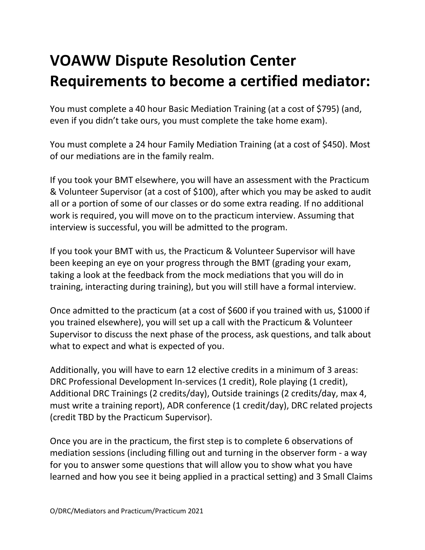## **VOAWW Dispute Resolution Center Requirements to become a certified mediator:**

You must complete a 40 hour Basic Mediation Training (at a cost of \$795) (and, even if you didn't take ours, you must complete the take home exam).

You must complete a 24 hour Family Mediation Training (at a cost of \$450). Most of our mediations are in the family realm.

If you took your BMT elsewhere, you will have an assessment with the Practicum & Volunteer Supervisor (at a cost of \$100), after which you may be asked to audit all or a portion of some of our classes or do some extra reading. If no additional work is required, you will move on to the practicum interview. Assuming that interview is successful, you will be admitted to the program.

If you took your BMT with us, the Practicum & Volunteer Supervisor will have been keeping an eye on your progress through the BMT (grading your exam, taking a look at the feedback from the mock mediations that you will do in training, interacting during training), but you will still have a formal interview.

Once admitted to the practicum (at a cost of \$600 if you trained with us, \$1000 if you trained elsewhere), you will set up a call with the Practicum & Volunteer Supervisor to discuss the next phase of the process, ask questions, and talk about what to expect and what is expected of you.

Additionally, you will have to earn 12 elective credits in a minimum of 3 areas: DRC Professional Development In-services (1 credit), Role playing (1 credit), Additional DRC Trainings (2 credits/day), Outside trainings (2 credits/day, max 4, must write a training report), ADR conference (1 credit/day), DRC related projects (credit TBD by the Practicum Supervisor).

Once you are in the practicum, the first step is to complete 6 observations of mediation sessions (including filling out and turning in the observer form - a way for you to answer some questions that will allow you to show what you have learned and how you see it being applied in a practical setting) and 3 Small Claims